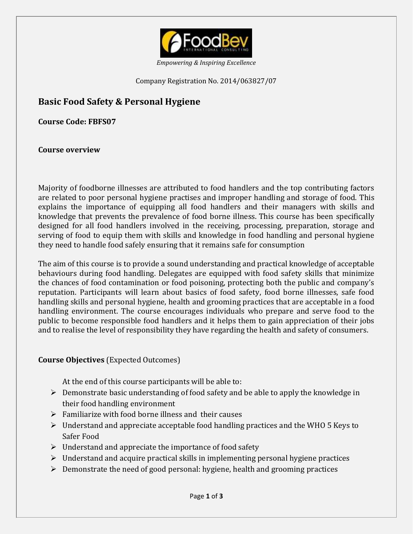

*Empowering & Inspiring Excellence*

Company Registration No. 2014/063827/07

# **Basic Food Safety & Personal Hygiene**

**Course Code: FBFS07**

**Course overview**

Majority of foodborne illnesses are attributed to food handlers and the top contributing factors are related to poor personal hygiene practises and improper handling and storage of food. This explains the importance of equipping all food handlers and their managers with skills and knowledge that prevents the prevalence of food borne illness. This course has been specifically designed for all food handlers involved in the receiving, processing, preparation, storage and serving of food to equip them with skills and knowledge in food handling and personal hygiene they need to handle food safely ensuring that it remains safe for consumption

The aim of this course is to provide a sound understanding and practical knowledge of acceptable behaviours during food handling. Delegates are equipped with food safety skills that minimize the chances of food contamination or food poisoning, protecting both the public and company's reputation. Participants will learn about basics of food safety, food borne illnesses, safe food handling skills and personal hygiene, health and grooming practices that are acceptable in a food handling environment. The course encourages individuals who prepare and serve food to the public to become responsible food handlers and it helps them to gain appreciation of their jobs and to realise the level of responsibility they have regarding the health and safety of consumers.

# **Course Objectives** (Expected Outcomes)

At the end of this course participants will be able to:

- $\triangleright$  Demonstrate basic understanding of food safety and be able to apply the knowledge in their food handling environment
- $\triangleright$  Familiarize with food borne illness and their causes
- $\triangleright$  Understand and appreciate acceptable food handling practices and the WHO 5 Keys to Safer Food
- $\triangleright$  Understand and appreciate the importance of food safety
- $\triangleright$  Understand and acquire practical skills in implementing personal hygiene practices
- $\triangleright$  Demonstrate the need of good personal: hygiene, health and grooming practices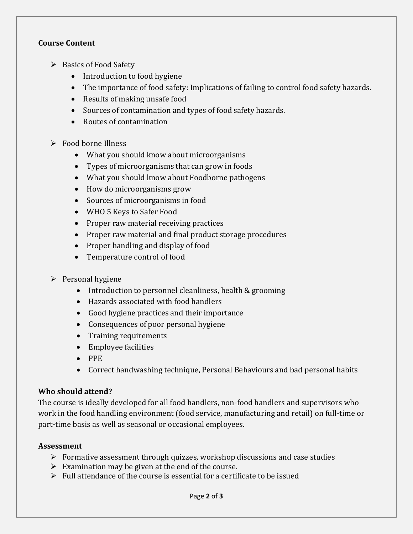# **Course Content**

- $\triangleright$  Basics of Food Safety
	- Introduction to food hygiene
	- The importance of food safety: Implications of failing to control food safety hazards.
	- Results of making unsafe food
	- Sources of contamination and types of food safety hazards.
	- Routes of contamination
- Food borne Illness
	- What you should know about microorganisms
	- Types of microorganisms that can grow in foods
	- What you should know about Foodborne pathogens
	- How do microorganisms grow
	- Sources of microorganisms in food
	- WHO 5 Keys to Safer Food
	- Proper raw material receiving practices
	- Proper raw material and final product storage procedures
	- Proper handling and display of food
	- Temperature control of food
- $\triangleright$  Personal hygiene
	- Introduction to personnel cleanliness, health & grooming
	- Hazards associated with food handlers
	- Good hygiene practices and their importance
	- Consequences of poor personal hygiene
	- Training requirements
	- Employee facilities
	- $\bullet$  PPE
	- Correct handwashing technique, Personal Behaviours and bad personal habits

# **Who should attend?**

The course is ideally developed for all food handlers, non-food handlers and supervisors who work in the food handling environment (food service, manufacturing and retail) on full-time or part-time basis as well as seasonal or occasional employees.

# **Assessment**

- $\triangleright$  Formative assessment through quizzes, workshop discussions and case studies
- $\triangleright$  Examination may be given at the end of the course.
- $\triangleright$  Full attendance of the course is essential for a certificate to be issued